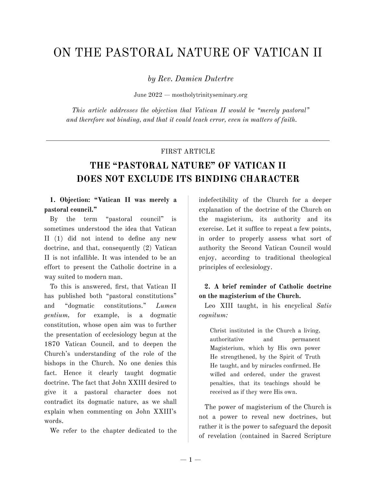# ON THE PASTORAL NATURE OF VATICAN II

*by Rev. Damien Dutertre*

June 2022 — mostholytrinityseminary.org

*This article addresses the objection that Vatican II would be "merely pastoral" and therefore not binding, and that it could teach error, even in matters of faith.*

#### FIRST ARTICLE

## **THE "PASTORAL NATURE" OF VATICAN II DOES NOT EXCLUDE ITS BINDING CHARACTER**

#### **1. Objection: "Vatican II was merely a pastoral council."**

By the term "pastoral council" is sometimes understood the idea that Vatican II (1) did not intend to define any new doctrine, and that, consequently (2) Vatican II is not infallible. It was intended to be an effort to present the Catholic doctrine in a way suited to modern man.

To this is answered, first, that Vatican II has published both "pastoral constitutions" and "dogmatic constitutions." *Lumen gentium,* for example, is a dogmatic constitution, whose open aim was to further the presentation of ecclesiology begun at the 1870 Vatican Council, and to deepen the Church's understanding of the role of the bishops in the Church. No one denies this fact. Hence it clearly taught dogmatic doctrine. The fact that John XXIII desired to give it a pastoral character does not contradict its dogmatic nature, as we shall explain when commenting on John XXIII's words.

We refer to the chapter dedicated to the

indefectibility of the Church for a deeper explanation of the doctrine of the Church on the magisterium, its authority and its exercise. Let it suffice to repeat a few points, in order to properly assess what sort of authority the Second Vatican Council would enjoy, according to traditional theological principles of ecclesiology.

#### **2. A brief reminder of Catholic doctrine on the magisterium of the Church.**

Leo XIII taught, in his encyclical *Satis cognitum:*

Christ instituted in the Church a living, authoritative and permanent Magisterium, which by His own power He strengthened, by the Spirit of Truth He taught, and by miracles confirmed. He willed and ordered, under the gravest penalties, that its teachings should be received as if they were His own.

The power of magisterium of the Church is not a power to reveal new doctrines, but rather it is the power to safeguard the deposit of revelation (contained in Sacred Scripture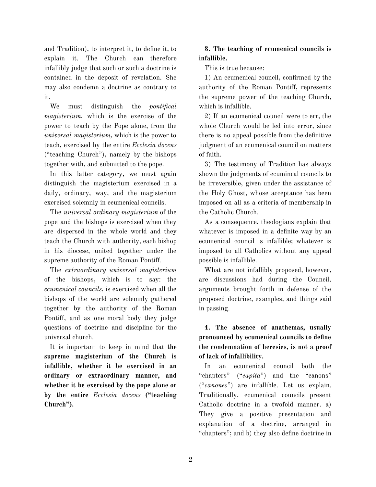and Tradition), to interpret it, to define it, to explain it. The Church can therefore infallibly judge that such or such a doctrine is contained in the deposit of revelation. She may also condemn a doctrine as contrary to it.

We must distinguish the *pontifical magisterium,* which is the exercise of the power to teach by the Pope alone, from the *universal magisterium,* which is the power to teach, exercised by the entire *Ecclesia docens* ("teaching Church"), namely by the bishops together with, and submitted to the pope.

In this latter category, we must again distinguish the magisterium exercised in a daily, ordinary, way, and the magisterium exercised solemnly in ecumenical councils.

The *universal ordinary magisterium* of the pope and the bishops is exercised when they are dispersed in the whole world and they teach the Church with authority, each bishop in his diocese, united together under the supreme authority of the Roman Pontiff.

The *extraordinary universal magisterium* of the bishops, which is to say: the *ecumenical councils,* is exercised when all the bishops of the world are solemnly gathered together by the authority of the Roman Pontiff, and as one moral body they judge questions of doctrine and discipline for the universal church.

It is important to keep in mind that **the supreme magisterium of the Church is infallible, whether it be exercised in an ordinary or extraordinary manner, and whether it be exercised by the pope alone or by the entire** *Ecclesia docens* **("teaching Church").**

## **3. The teaching of ecumenical councils is infallible.**

This is true because:

1) An ecumenical council, confirmed by the authority of the Roman Pontiff, represents the supreme power of the teaching Church, which is infallible.

2) If an ecumenical council were to err, the whole Church would be led into error, since there is no appeal possible from the definitive judgment of an ecumenical council on matters of faith.

3) The testimony of Tradition has always shown the judgments of ecumincal councils to be irreversible, given under the assistance of the Holy Ghost, whose acceptance has been imposed on all as a criteria of membership in the Catholic Church.

As a consequence, theologians explain that whatever is imposed in a definite way by an ecumenical council is infallible; whatever is imposed to all Catholics without any appeal possible is infallible.

What are not infallibly proposed, however, are discussions had during the Council, arguments brought forth in defense of the proposed doctrine, examples, and things said in passing.

## **4. The absence of anathemas, usually pronounced by ecumenical councils to define the condemnation of heresies, is not a proof of lack of infallibility.**

In an ecumenical council both the "chapters" ("*capita*") and the "canons" ("*canones*") are infallible. Let us explain. Traditionally, ecumenical councils present Catholic doctrine in a twofold manner. a) They give a positive presentation and explanation of a doctrine, arranged in "chapters"; and b) they also define doctrine in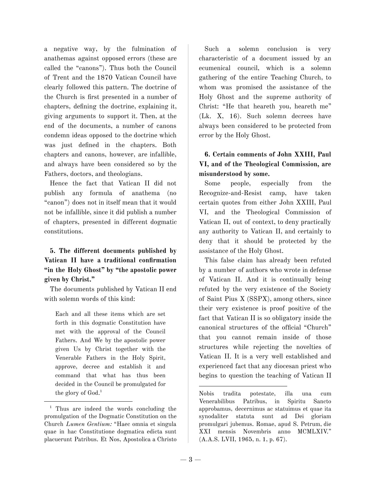a negative way, by the fulmination of anathemas against opposed errors (these are called the "canons"). Thus both the Council of Trent and the 1870 Vatican Council have clearly followed this pattern. The doctrine of the Church is first presented in a number of chapters, defining the doctrine, explaining it, giving arguments to support it. Then, at the end of the documents, a number of canons condemn ideas opposed to the doctrine which was just defined in the chapters. Both chapters and canons, however, are infallible, and always have been considered so by the Fathers, doctors, and theologians.

Hence the fact that Vatican II did not publish any formula of anathema (no "canon") does not in itself mean that it would not be infallible, since it did publish a number of chapters, presented in different dogmatic constitutions.

## **5. The different documents published by Vatican II have a traditional confirmation "in the Holy Ghost" by "the apostolic power given by Christ."**

The documents published by Vatican II end with solemn words of this kind:

Each and all these items which are set forth in this dogmatic Constitution have met with the approval of the Council Fathers. And We by the apostolic power given Us by Christ together with the Venerable Fathers in the Holy Spirit, approve, decree and establish it and command that what has thus been decided in the Council be promulgated for the glory of God. 1

Such a solemn conclusion is very characteristic of a document issued by an ecumenical council, which is a solemn gathering of the entire Teaching Church, to whom was promised the assistance of the Holy Ghost and the supreme authority of Christ: "He that heareth you, heareth me" (Lk. X, 16). Such solemn decrees have always been considered to be protected from error by the Holy Ghost.

## **6. Certain comments of John XXIII, Paul VI, and of the Theological Commission, are misunderstood by some.**

Some people, especially from the Recognize-and-Resist camp, have taken certain quotes from either John XXIII, Paul VI, and the Theological Commission of Vatican II, out of context, to deny practically any authority to Vatican II, and certainly to deny that it should be protected by the assistance of the Holy Ghost.

This false claim has already been refuted by a number of authors who wrote in defense of Vatican II. And it is continually being refuted by the very existence of the Society of Saint Pius X (SSPX), among others, since their very existence is proof positive of the fact that Vatican II is so obligatory inside the canonical structures of the official "Church" that you cannot remain inside of those structures while rejecting the novelties of Vatican II. It is a very well established and experienced fact that any diocesan priest who begins to question the teaching of Vatican II

<sup>&</sup>lt;sup>1</sup> Thus are indeed the words concluding the promulgation of the Dogmatic Constitution on the Church *Lumen Gentium:* "Haec omnia et singula quae in hac Constitutione dogmatica edicta sunt placuerunt Patribus. Et Nos, Apostolica a Christo

Nobis tradita potestate, illa una cum Venerabilibus Patribus, in Spiritu Sancto approbamus, decernimus ac statuimus et quae ita synodaliter statuta sunt ad Dei gloriam promulgari jubemus. Romae, apud S. Petrum, die XXI mensis Novembris anno MCMLXIV." (A.A.S. LVII, 1965, n. 1, p. 67).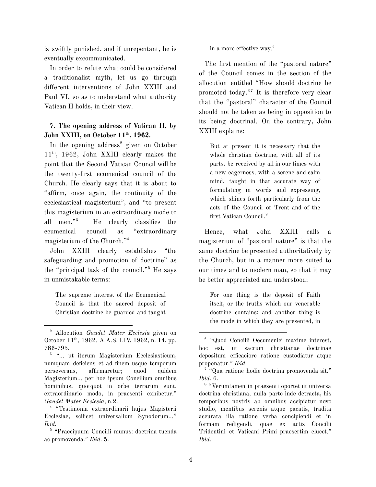is swiftly punished, and if unrepentant, he is eventually excommunicated.

In order to refute what could be considered a traditionalist myth, let us go through different interventions of John XXIII and Paul VI, so as to understand what authority Vatican II holds, in their view.

#### **7. The opening address of Vatican II, by John XXIII, on October 11 th , 1962.**

In the opening address <sup>2</sup> given on October 11 th , 1962, John XXIII clearly makes the point that the Second Vatican Council will be the twenty-first ecumenical council of the Church. He clearly says that it is about to "affirm, once again, the continuity of the ecclesiastical magisterium", and "to present this magisterium in an extraordinary mode to all men." <sup>3</sup> He clearly classifies the ecumenical council as "extraordinary magisterium of the Church." 4

John XXIII clearly establishes "the safeguarding and promotion of doctrine" as the "principal task of the council." <sup>5</sup> He says in unmistakable terms:

The supreme interest of the Ecumenical Council is that the sacred deposit of Christian doctrine be guarded and taught in a more effective way. 6

The first mention of the "pastoral nature" of the Council comes in the section of the allocution entitled "How should doctrine be promoted today." 7 It is therefore very clear that the "pastoral" character of the Council should not be taken as being in opposition to its being doctrinal. On the contrary, John XXIII explains:

But at present it is necessary that the whole christian doctrine, with all of its parts, be received by all in our times with a new eagerness, with a serene and calm mind, taught in that accurate way of formulating in words and expressing, which shines forth particularly from the acts of the Council of Trent and of the first Vatican Council. 8

Hence, what John XXIII calls a magisterium of "pastoral nature" is that the same doctrine be presented authoritatively by the Church, but in a manner more suited to our times and to modern man, so that it may be better appreciated and understood:

For one thing is the deposit of Faith itself, or the truths which our venerable doctrine contains; and another thing is the mode in which they are presented, in

<sup>2</sup> Allocution *Gaudet Mater Ecclesia* given on October 11<sup>th</sup>, 1962. A.A.S. LIV, 1962, n. 14, pp. 786-795.

<sup>&</sup>lt;sup>3</sup> "... ut iterum Magisterium Ecclesiasticum, numquam deficiens et ad finem usque temporum perseverans, affirmaretur; quod quidem Magisterium… per hoc ipsum Concilium omnibus hominibus, quotquot in orbe terrarum sunt, extraordinario modo, in praesenti exhibetur." *Gaudet Mater Ecclesia*, n.2.

<sup>4</sup> "Testimonia extraordinarii hujus Magisterii Ecclesiae, scilicet universalium Synodorum…" *Ibid.*

<sup>5</sup> "Praecipuum Concilii munus: doctrina tuenda ac promovenda." *Ibid*. 5.

<sup>6</sup> "Quod Concilii Oecumenici maxime interest, hoc est, ut sacrum christianae doctrinae depositum efficaciore ratione custodiatur atque proponatur." *Ibid*.

<sup>7</sup> "Qua ratione hodie doctrina promovenda sit." *Ibid*. 6.

<sup>8</sup> "Verumtamen in praesenti oportet ut universa doctrina christiana, nulla parte inde detracta, his temporibus nostris ab omnibus accipiatur novo studio, mentibus serenis atque pacatis, tradita accurata illa ratione verba concipiendi et in formam redigendi, quae ex actis Concilii Tridentini et Vaticani Primi praesertim elucet." *Ibid*.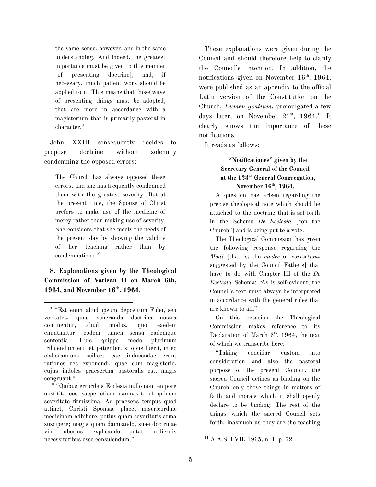the same sense, however, and in the same understanding. And indeed, the greatest importance must be given to this manner [of presenting doctrine], and, if necessary, much patient work should be applied to it. This means that those ways of presenting things must be adopted, that are more in accordance with a magisterium that is primarily pastoral in character. 9

John XXIII consequently decides to propose doctrine without solemnly condemning the opposed errors:

The Church has always opposed these errors, and she has frequently condemned them with the greatest severity. But at the present time, the Spouse of Christ prefers to make use of the medicine of mercy rather than making use of severity. She considers that she meets the needs of the present day by showing the validity of her teaching rather than by condemnations. 10

**8. Explanations given by the Theological Commission of Vatican II on March 6th, 1964, and November 16 th , 1964.**

<sup>10</sup> "Quibus erroribus Ecclesia nullo non tempore obstitit, eos saepe etiam damnavit, et quidem severitate firmissima. Ad praesens tempus quod attinet, Christi Sponsae placet misericordiae medicinam adhibere, potius quam severitatis arma suscipere; magis quam damnando, suae doctrinae vim uberius explicando putat hodiernis necessitatibus esse consulendum."

These explanations were given during the Council and should therefore help to clarify the Council's intention. In addition, the notifications given on November 16<sup>th</sup>, 1964, were published as an appendix to the official Latin version of the Constitution on the Church, *Lumen gentium,* promulgated a few days later, on November  $21<sup>st</sup>$ ,  $1964<sup>11</sup>$  It clearly shows the importance of these notifications.

It reads as follows:

#### **"Notificationes" given by the Secretary General of the Council at the 123 rd General Congregation, November 16 th , 1964.**

A question has arisen regarding the precise theological note which should be attached to the doctrine that is set forth in the Schema *De Ecclesia* ["on the Church"] and is being put to a vote.

The Theological Commission has given the following response regarding the *Modi* [that is, the *modes* or *corrections* suggested by the Council Fathers] that have to do with Chapter III of the *De Ecclesia* Schema: "As is self-evident, the Council's text must always be interpreted in accordance with the general rules that are known to all."

On this occasion the Theological Commission makes reference to its Declaration of March  $6<sup>th</sup>$ , 1964, the text of which we transcribe here:

"Taking conciliar custom into consideration and also the pastoral purpose of the present Council, the sacred Council defines as binding on the Church only those things in matters of faith and morals which it shall openly declare to be binding. The rest of the things which the sacred Council sets forth, inasmuch as they are the teaching

<sup>9</sup> "Est enim aliud ipsum depositum Fidei, seu veritates, quae veneranda doctrina nostra continentur, aliud modus, quo eaedem enuntiantur, eodem tamen sensu eademque sententia. Huic quippe modo plurimum tribuendum erit et patienter, si opus fuerit, in eo elaborandum; scilicet eae inducendae erunt rationes res exponendi, quae cum magisterio, cujus indoles praesertim pastoralis est, magis congruant."

 $11$  A.A.S. LVII, 1965, n. 1, p. 72.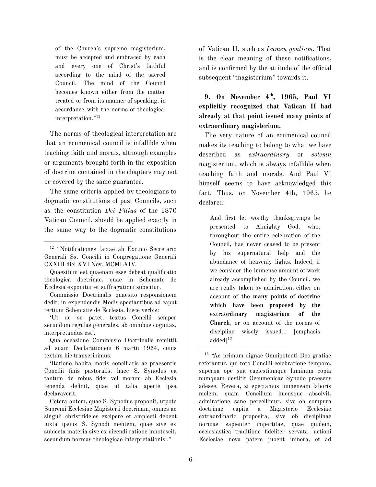of the Church's supreme magisterium, must be accepted and embraced by each and every one of Christ's faithful according to the mind of the sacred Council. The mind of the Council becomes known either from the matter treated or from its manner of speaking, in accordance with the norms of theological interpretation." 12

The norms of theological interpretation are that an ecumenical council is infallible when teaching faith and morals, although examples or arguments brought forth in the exposition of doctrine contained in the chapters may not be covered by the same guarantee.

The same criteria applied by theologians to dogmatic constitutions of past Councils, such as the constitution *Dei Filius* of the 1870 Vatican Council, should be applied exactly in the same way to the dogmatic constitutions of Vatican II, such as *Lumen gentium*. That is the clear meaning of these notifications, and is confirmed by the attitude of the official subsequent "magisterium" towards it.

**9. On November 4 th , 1965, Paul VI explicitly recognized that Vatican II had already at that point issued many points of extraordinary magisterium.**

The very nature of an ecumenical council makes its teaching to belong to what we have described as *extraordinary* or *solemn* magisterium, which is always infallible when teaching faith and morals. And Paul VI himself seems to have acknowledged this fact. Thus, on November 4th, 1965, he declared:

And first let worthy thanksgivings be presented to Almighty God, who, throughout the entire celebration of the Council, has never ceased to be present by his supernatural help and the abundance of heavenly lights. Indeed, if we consider the immense amount of work already accomplished by the Council, we are really taken by admiration, either on account of **the many points of doctrine which have been proposed by the extraordinary magisterium of the Church**, or on account of the norms of discipline wisely issued… [emphasis added] 13

<sup>12</sup> "Notificationes factae ab Exc.mo Secretario Generali Ss. Concilii in Congregatione Generali CXXIII diei XVI Nov. MCMLXIV.

Quaesitum est quaenam esse debeat qualificatio theologica doctrinae, quae in Schemate de Ecclesia exponitur et suffragationi subicitur.

Commissio Doctrinalis quaesito responsionem dedit, in expendendis Modis spectantibus ad caput tertium Schematis de Ecclesia, hisce verbis:

<sup>&#</sup>x27;Ut de se patet, textus Concilii semper secundum regulas generales, ab omnibus cognitas, interpretandus est'.

Qua occasione Commissio Doctrinalis remittit ad suam Declarationem 6 martii 1964, cuius textum hic transcribimus:

<sup>&#</sup>x27;Ratione habita moris conciliaris ac praesentis Concilii finis pastoralis, haec S. Synodus ea tantum de rebus fidei vel morum ab Ecclesia tenenda definit, quae ut talia aperte ipsa declaraverit.

Cetera autem, quae S. Synodus proponit, utpote Supremi Ecclesiae Magisterii doctrinam, omnes ac singuli christifideles excipere et amplecti debent iuxta ipsius S. Synodi mentem, quae sive ex subiecta materia sive ex dicendi ratione innotescit, secundum normas theologicae interpretationis'."

<sup>13</sup> "Ac primum dignae Omnipotenti Deo gratiae referantur, qui toto Concilii celebratione tempore, superna ope sua caelestiumque luminum copia numquam destitit Oecumenicae Synodo praesens adesse. Revera, si spectamus immensam laboris molem, quam Concilium hucusque absolvit, admiratione sane percellimur, sive ob compura doctrinae capita a Magisterio Ecclesiae extraordinario proposita, sive ob disciplinae normas sapienter impertitas, quae quidem, ecclesiastica traditione fideliter servata, actioni Ecclesiae nova patere jubent ininera, et ad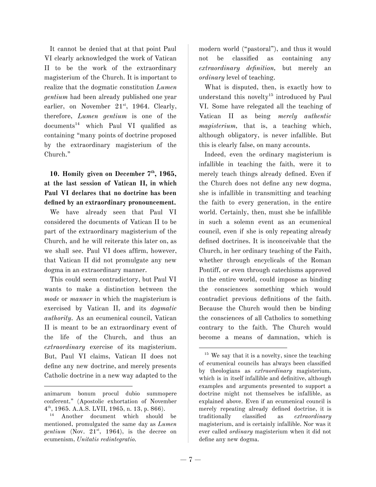It cannot be denied that at that point Paul VI clearly acknowledged the work of Vatican II to be the work of the extraordinary magisterium of the Church. It is important to realize that the dogmatic constitution *Lumen gentium* had been already published one year earlier, on November 21<sup>st</sup>, 1964. Clearly, therefore, *Lumen gentium* is one of the documents <sup>14</sup> which Paul VI qualified as containing "many points of doctrine proposed by the extraordinary magisterium of the Church."

## **10. Homily given on December 7 th , 1965, at the last session of Vatican II, in which Paul VI declares that no doctrine has been defined by an extraordinary pronouncement.**

We have already seen that Paul VI considered the documents of Vatican II to be part of the extraordinary magisterium of the Church, and he will reiterate this later on, as we shall see. Paul VI does affirm, however, that Vatican II did not promulgate any new dogma in an extraordinary manner.

This could seem contradictory, but Paul VI wants to make a distinction between the *mode* or *manner* in which the magisterium is exercised by Vatican II, and its *dogmatic authority*. As an ecumenical council, Vatican II is meant to be an extraordinary event of the life of the Church, and thus an *extraordinary* exercise of its magisterium. But, Paul VI claims, Vatican II does not define any new doctrine, and merely presents Catholic doctrine in a new way adapted to the modern world ("pastoral"), and thus it would not be classified as containing any *extraordinary definition,* but merely an *ordinary* level of teaching.

What is disputed, then, is exactly how to understand this novelty 15 introduced by Paul VI. Some have relegated all the teaching of Vatican II as being *merely authentic magisterium,* that is, a teaching which, although obligatory, is never infallible. But this is clearly false, on many accounts.

Indeed, even the ordinary magisterium is infallible in teaching the faith, were it to merely teach things already defined. Even if the Church does not define any new dogma, she is infallible in transmitting and teaching the faith to every generation, in the entire world. Certainly, then, must she be infallible in such a solemn event as an ecumenical council, even if she is only repeating already defined doctrines. It is inconceivable that the Church, in her ordinary teaching of the Faith, whether through encyclicals of the Roman Pontiff, or even through catechisms approved in the entire world, could impose as binding the consciences something which would contradict previous definitions of the faith. Because the Church would then be binding the consciences of all Catholics to something contrary to the faith. The Church would become a means of damnation, which is

animarum bonum procul dubio summopere conferent." (Apostolic exhortation of November 4 th , 1965. A.A.S. LVII, 1965, n. 13, p. 866).

Another document which should be mentioned, promulgated the same day as *Lumen* gentium (Nov.  $21^{st}$ , 1964), is the decree on ecumenism, *Unitatis redintegratio.*

 $15$  We say that it is a novelty, since the teaching of ecumenical councils has always been classified by theologians as *extraordinary* magisterium, which is in itself infallible and definitive, although examples and arguments presented to support a doctrine might not themselves be infallible, as explained above. Even if an ecumenical council is merely repeating already defined doctrine, it is traditionally classified as *extraordinary* magisterium, and is certainly infallible. Nor was it ever called *ordinary* magisterium when it did not define any new dogma.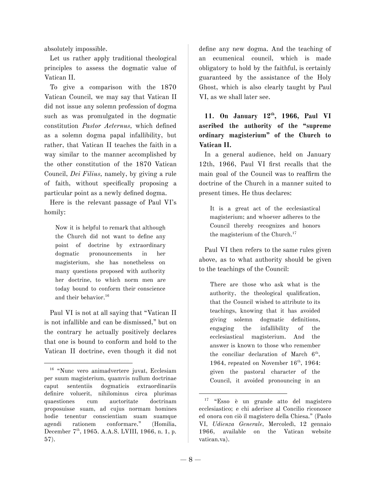absolutely impossible.

Let us rather apply traditional theological principles to assess the dogmatic value of Vatican II.

To give a comparison with the 1870 Vatican Council, we may say that Vatican II did not issue any solemn profession of dogma such as was promulgated in the dogmatic constitution *Pastor Aeternus,* which defined as a solemn dogma papal infallibility, but rather, that Vatican II teaches the faith in a way similar to the manner accomplished by the other constitution of the 1870 Vatican Council, *Dei Filius,* namely, by giving a rule of faith, without specifically proposing a particular point as a newly defined dogma.

Here is the relevant passage of Paul VI's homily:

Now it is helpful to remark that although the Church did not want to define any point of doctrine by extraordinary dogmatic pronouncements in her magisterium, she has nonetheless on many questions proposed with authority her doctrine, to which norm men are today bound to conform their conscience and their behavior. 16

Paul VI is not at all saying that "Vatican II is not infallible and can be dismissed," but on the contrary he actually positively declares that one is bound to conform and hold to the Vatican II doctrine, even though it did not define any new dogma. And the teaching of an ecumenical council, which is made obligatory to hold by the faithful, is certainly guaranteed by the assistance of the Holy Ghost, which is also clearly taught by Paul VI, as we shall later see.

**11. On January 12 th , 1966, Paul VI ascribed the authority of the "supreme ordinary magisterium" of the Church to Vatican II.**

In a general audience, held on January 12th, 1966, Paul VI first recalls that the main goal of the Council was to reaffirm the doctrine of the Church in a manner suited to present times. He thus declares:

It is a great act of the ecclesiastical magisterium; and whoever adheres to the Council thereby recognizes and honors the magisterium of the Church. 17

Paul VI then refers to the same rules given above, as to what authority should be given to the teachings of the Council:

There are those who ask what is the authority, the theological qualification, that the Council wished to attribute to its teachings, knowing that it has avoided giving solemn dogmatic definitions, engaging the infallibility of the ecclesiastical magisterium. And the answer is known to those who remember the conciliar declaration of March 6<sup>th</sup>, 1964, repeated on November  $16<sup>th</sup>$ , 1964: given the pastoral character of the Council, it avoided pronouncing in an

<sup>16</sup> "Nunc vero animadvertere juvat, Ecclesiam per suum magisterium, quamvis nullum doctrinae caput sententiis dogmaticis extraordinariis definire voluerit, nihilominus circa plurimas quaestiones cum auctoritate doctrinam proposuisse suam, ad cujus normam homines hodie tenentur conscientiam suam suamque agendi rationem conformare." (Homilia, December 7<sup>th</sup>, 1965. A.A.S. LVIII, 1966, n. 1, p. 57).

<sup>17</sup> "Esso è un grande atto del magistero ecclesiastico; e chi aderisce al Concilio riconosce ed onora con ciò il magistero della Chiesa." (Paolo VI, *Udienza Generale*, Mercoledì, 12 gennaio 1966, available on the Vatican website vatican.va).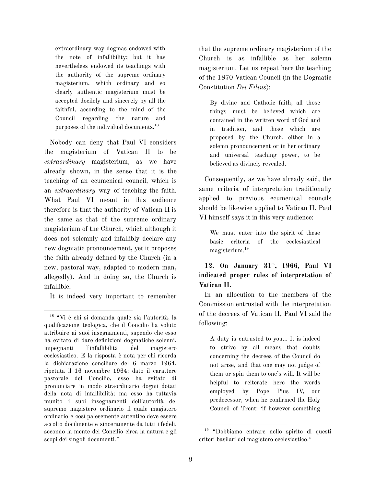extraordinary way dogmas endowed with the note of infallibility; but it has nevertheless endowed its teachings with the authority of the supreme ordinary magisterium, which ordinary and so clearly authentic magisterium must be accepted docilely and sincerely by all the faithful, according to the mind of the Council regarding the nature and purposes of the individual documents. 18

Nobody can deny that Paul VI considers the magisterium of Vatican II to be *extraordinary* magisterium, as we have already shown, in the sense that it is the teaching of an ecumenical council, which is an *extraordinary* way of teaching the faith. What Paul VI meant in this audience therefore is that the authority of Vatican II is the same as that of the supreme ordinary magisterium of the Church, which although it does not solemnly and infallibly declare any new dogmatic pronouncement, yet it proposes the faith already defined by the Church (in a new, pastoral way, adapted to modern man, allegedly). And in doing so, the Church is infallible.

It is indeed very important to remember

that the supreme ordinary magisterium of the Church is as infallible as her solemn magisterium. Let us repeat here the teaching of the 1870 Vatican Council (in the Dogmatic Constitution *Dei Filius*):

By divine and Catholic faith, all those things must be believed which are contained in the written word of God and in tradition, and those which are proposed by the Church, either in a solemn pronouncement or in her ordinary and universal teaching power, to be believed as divinely revealed.

Consequently, as we have already said, the same criteria of interpretation traditionally applied to previous ecumenical councils should be likewise applied to Vatican II. Paul VI himself says it in this very audience:

We must enter into the spirit of these basic criteria of the ecclesiastical magisterium. 19

## **12. On January 31 st , 1966, Paul VI indicated proper rules of interpretation of Vatican II.**

In an allocution to the members of the Commission entrusted with the interpretation of the decrees of Vatican II, Paul VI said the following:

A duty is entrusted to you… It is indeed to strive by all means that doubts concerning the decrees of the Council do not arise, and that one may not judge of them or spin them to one's will. It will be helpful to reiterate here the words employed by Pope Pius IV, our predecessor, when he confirmed the Holy Council of Trent: 'if however something

<sup>18</sup> "Vi è chi si domanda quale sia l'autorità, la qualificazione teologica, che il Concilio ha voluto attribuire ai suoi insegnamenti, sapendo che esso ha evitato di dare definizioni dogmatiche solenni, impegnanti l'infallibilità del magistero ecclesiastico. E la risposta è nota per chi ricorda la dichiarazione conciliare del 6 marzo 1964, ripetuta il 16 novembre 1964: dato il carattere pastorale del Concilio, esso ha evitato di pronunciare in modo straordinario dogmi dotati della nota di infallibilità; ma esso ha tuttavia munito i suoi insegnamenti dell'autorità del supremo magistero ordinario il quale magistero ordinario e così palesemente autentico deve essere accolto docilmente e sinceramente da tutti i fedeli, secondo la mente del Concilio circa la natura e gli scopi dei singoli documenti."

<sup>19</sup> "Dobbiamo entrare nello spirito di questi criteri basilari del magistero ecclesiastico."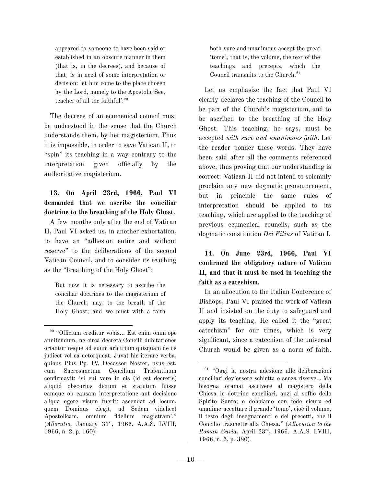appeared to someone to have been said or established in an obscure manner in them (that is, in the decrees), and because of that, is in need of some interpretation or decision: let him come to the place chosen by the Lord, namely to the Apostolic See, teacher of all the faithful'. 20

The decrees of an ecumenical council must be understood in the sense that the Church understands them, by her magisterium. Thus it is impossible, in order to save Vatican II, to "spin" its teaching in a way contrary to the interpretation given officially by the authoritative magisterium.

## **13. On April 23rd, 1966, Paul VI demanded that we ascribe the conciliar doctrine to the breathing of the Holy Ghost.**

A few months only after the end of Vatican II, Paul VI asked us, in another exhortation, to have an "adhesion entire and without reserve" to the deliberations of the second Vatican Council, and to consider its teaching as the "breathing of the Holy Ghost":

But now it is necessary to ascribe the conciliar doctrines to the magisterium of the Church, nay, to the breath of the Holy Ghost; and we must with a faith both sure and unanimous accept the great 'tome', that is, the volume, the text of the teachings and precepts, which the Council transmits to the Church. 21

Let us emphasize the fact that Paul VI clearly declares the teaching of the Council to be part of the Church's magisterium, and to be ascribed to the breathing of the Holy Ghost. This teaching, he says, must be accepted *with sure and unanimous faith*. Let the reader ponder these words. They have been said after all the comments referenced above, thus proving that our understanding is correct: Vatican II did not intend to solemnly proclaim any new dogmatic pronouncement, but in principle the same rules of interpretation should be applied to its teaching, which are applied to the teaching of previous ecumenical councils, such as the dogmatic constitution *Dei Filius* of Vatican I*.*

**14. On June 23rd, 1966, Paul VI confirmed the obligatory nature of Vatican II, and that it must be used in teaching the faith as a catechism.**

In an allocution to the Italian Conference of Bishops, Paul VI praised the work of Vatican II and insisted on the duty to safeguard and apply its teaching. He called it the "great catechism" for our times, which is very significant, since a catechism of the universal Church would be given as a norm of faith,

<sup>20</sup> "Officium creditur vobis… Est enim omni ope annitendum, ne circa decreta Concilii dubitationes oriantur neque ad suum arbitrium quisquam de iis judicet vel ea detorqueat. Juvat hic iterare verba, quibus Pius Pp. IV, Decessor Noster, usus est, cum Sacrosanctum Concilium Tridentinum confirmavit: 'si cui vero in eis (id est decretis) aliquid obscurius dictum et statutum fuisse eamque ob causam interpretatione aut decisione aliqua egere visum fuerit: ascendat ad locum, quem Dominus elegit, ad Sedem videlicet Apostolicam, omnium fidelium magistram'." (Allocutio, January 31<sup>st</sup>, 1966. A.A.S. LVIII, 1966, n. 2, p. 160).

<sup>21</sup> "Oggi la nostra adesione alle deliberazioni conciliari dev'essere schietta e senza riserve… Ma bisogna oramai ascrivere al magistero della Chiesa le dottrine conciliari, anzi al soffio dello Spirito Santo; e dobbiamo con fede sicura ed unanime accettare il grande 'tomo', cioè il volume, il testo degli insegnamenti e dei precetti, che il Concilio trasmette alla Chiesa." (*Allocution to the Roman Curia*, April 23 rd , 1966. A.A.S. LVIII, 1966, n. 5, p. 380).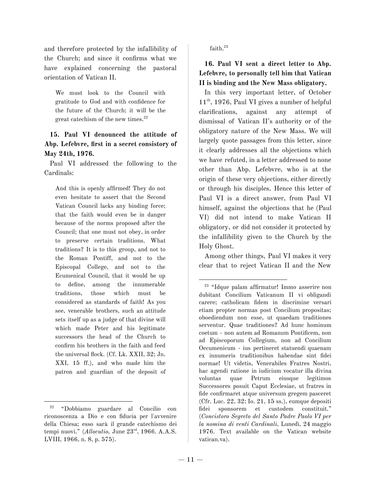and therefore protected by the infallibility of the Church; and since it confirms what we have explained concerning the pastoral orientation of Vatican II.

We must look to the Council with gratitude to God and with confidence for the future of the Church; it will be the great catechism of the new times. 22

#### **15. Paul VI denounced the attitude of Abp. Lefebvre, first in a secret consistory of May 24th, 1976.**

Paul VI addressed the following to the Cardinals:

And this is openly affirmed! They do not even hesitate to assert that the Second Vatican Council lacks any binding force; that the faith would even be in danger because of the norms proposed after the Council; that one must not obey, in order to preserve certain traditions. What traditions? It is to this group, and not to the Roman Pontiff, and not to the Episcopal College, and not to the Ecumenical Council, that it would be up to define, among the innumerable traditions, those which must be considered as standards of faith! As you see, venerable brothers, such an attitude sets itself up as a judge of that divine will which made Peter and his legitimate successors the head of the Church to confirm his brothers in the faith and feed the universal flock. (Cf. Lk. XXII, 32; Jn. XXI, 15 ff.), and who made him the patron and guardian of the deposit of faith. 23

**16. Paul VI sent a direct letter to Abp. Lefebvre, to personally tell him that Vatican II is binding and the New Mass obligatory.**

In this very important letter, of October 11 th , 1976, Paul VI gives a number of helpful clarifications, against any attempt of dismissal of Vatican II's authority or of the obligatory nature of the New Mass. We will largely quote passages from this letter, since it clearly addresses all the objections which we have refuted, in a letter addressed to none other than Abp. Lefebvre, who is at the origin of these very objections, either directly or through his disciples. Hence this letter of Paul VI is a direct answer, from Paul VI himself, against the objections that he (Paul VI) did not intend to make Vatican II obligatory, or did not consider it protected by the infallibility given to the Church by the Holy Ghost.

Among other things, Paul VI makes it very clear that to reject Vatican II and the New

<sup>22</sup> "Dobbiamo guardare al Concilio con riconoscenza a Dio e con fiducia per l'avvenire della Chiesa; esso sarà il grande catechismo dei tempi nuovi." (*Allocutio*, June 23<sup>rd</sup>, 1966. A.A.S. LVIII, 1966, n. 8, p. 575).

<sup>23</sup> "Idque palam affirmatur! Immo asserire non dubitant Concilium Vaticanum II vi obligandi carere; catholicam fidem in discrimine versari etiam propter normas post Concilium propositas; oboediendum non esse, ut quaedam traditiones serventur. Quae traditiones? Ad hunc hominum coetum - non autem ad Romanum Pontificem, non ad Episcoporum Collegium, non ad Concilium Oecumenicum - ius pertineret statuendi quaenam ex innumeris traditionibus habendae sint fidei normae! Ut videtis, Venerabiles Fratres Nostri, hac agendi ratione in iudicium vocatur illa divina voluntas quae Petrum eiusque legitimos Successores posuit Caput Ecclesiae, ut fratres in fide confirmaret atque universum gregem pasceret (Cfr. Luc. 22, 32; Io. 21, 15 ss.), eumque depositi fidei sponsorem et custodem constituit." (*Concistoro Segreto del Santo Padre Paolo VI per la nomina di venti Cardinali*, Lunedì, 24 maggio 1976. Text available on the Vatican website vatican.va).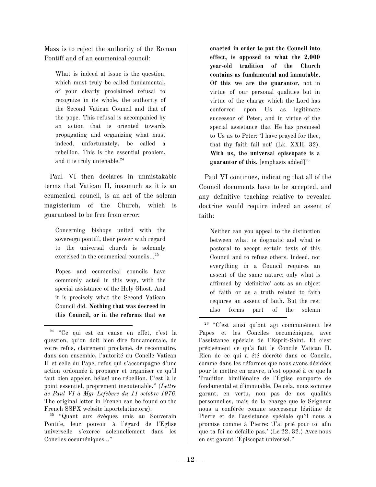Mass is to reject the authority of the Roman Pontiff and of an ecumenical council:

What is indeed at issue is the question, which must truly be called fundamental, of your clearly proclaimed refusal to recognize in its whole, the authority of the Second Vatican Council and that of the pope. This refusal is accompanied by an action that is oriented towards propagating and organizing what must indeed, unfortunately, be called a rebellion. This is the essential problem, and it is truly untenable. 24

Paul VI then declares in unmistakable terms that Vatican II, inasmuch as it is an ecumenical council, is an act of the solemn magisterium of the Church, which is guaranteed to be free from error:

Concerning bishops united with the sovereign pontiff, their power with regard to the universal church is solemnly exercised in the ecumenical councils…<sup>25</sup>

Popes and ecumenical councils have commonly acted in this way, with the special assistance of the Holy Ghost. And it is precisely what the Second Vatican Council did. **Nothing that was decreed in this Council, or in the reforms that we**

<sup>25</sup> "Quant aux évêques unis au Souverain Pontife, leur pouvoir à l'égard de l'Eglise universelle s'exerce solennellement dans les Conciles oecuméniques…"

**enacted in order to put the Council into effect, is opposed to what the 2,000 year-old tradition of the Church contains as fundamental and immutable. Of this we are the guarantor**, not in virtue of our personal qualities but in virtue of the charge which the Lord has conferred upon Us as legitimate successor of Peter, and in virtue of the special assistance that He has promised to Us as to Peter: 'I have prayed for thee, that thy faith fail not' (Lk. XXII, 32). **With us, the universal episcopate is a guarantor of this.** [emphasis added] 26

Paul VI continues, indicating that all of the Council documents have to be accepted, and any definitive teaching relative to revealed doctrine would require indeed an assent of faith:

Neither can you appeal to the distinction between what is dogmatic and what is pastoral to accept certain texts of this Council and to refuse others. Indeed, not everything in a Council requires an assent of the same nature: only what is affirmed by 'definitive' acts as an object of faith or as a truth related to faith requires an assent of faith. But the rest also forms part of the solemn

<sup>24</sup> "Ce qui est en cause en effet, c'est la question, qu'on doit bien dire fondamentale, de votre refus, clairement proclamé, de reconnaître, dans son ensemble, l'autorité du Concile Vatican II et celle du Pape, refus qui s'accompagne d'une action ordonnée à propager et organiser ce qu'il faut bien appeler, hélas! une rébellion. C'est là le point essentiel, proprement insoutenable." (*Lettre de Paul VI à Mgr Lefebvre du 11 octobre 1976*. The original letter in French can be found on the French SSPX website laportelatine.org).

<sup>26</sup> "C'est ainsi qu'ont agi communément les Papes et les Conciles oecuméniques, avec l'assistance spéciale de l'Esprit-Saint. Et c'est précisément ce qu'a fait le Concile Vatican II. Rien de ce qui a été décrété dans ce Concile, comme dans les réformes que nous avons décidées pour le mettre en œuvre, n'est opposé à ce que la Tradition bimillénaire de l'Église comporte de fondamental et d'immuable. De cela, nous sommes garant, en vertu, non pas de nos qualités personnelles, mais de la charge que le Seigneur nous a conférée comme successeur légitime de Pierre et de l'assistance spéciale qu'il nous a promise comme à Pierre: 'J'ai prié pour toi afin que ta foi ne défaille pas.' (Lc 22, 32.) Avec nous en est garant l'Épiscopat universel."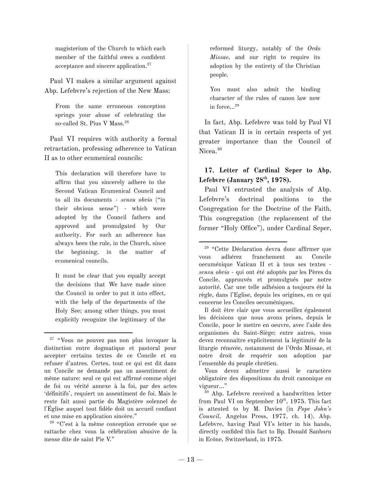magisterium of the Church to which each member of the faithful owes a confident acceptance and sincere application. 27

Paul VI makes a similar argument against Abp. Lefebvre's rejection of the New Mass:

From the same erroneous conception springs your abuse of celebrating the so-called St. Pius V Mass. 28

Paul VI requires with authority a formal retractation, professing adherence to Vatican II as to other ecumenical councils:

This declaration will therefore have to affirm that you sincerely adhere to the Second Vatican Ecumenical Council and to all its documents - *sensu obvio* ("in their obvious sense") - which were adopted by the Council fathers and approved and promulgated by Our authority. For such an adherence has always been the rule, in the Church, since the beginning, in the matter of ecumenical councils.

It must be clear that you equally accept the decisions that We have made since the Council in order to put it into effect, with the help of the departments of the Holy See; among other things, you must explicitly recognize the legitimacy of the

<sup>28</sup> "C'est à la même conception erronée que se rattache chez vous la célébration abusive de la messe dite de saint Pie V."

reformed liturgy, notably of the *Ordo Missae,* and our right to require its adoption by the entirety of the Christian people.

You must also admit the binding character of the rules of canon law now in force…<sup>29</sup>

In fact, Abp. Lefebvre was told by Paul VI that Vatican II is in certain respects of yet greater importance than the Council of Nicea. 30

## **17. Letter of Cardinal Seper to Abp. Lefebvre (January 28 th , 1978).**

Paul VI entrusted the analysis of Abp. Lefebvre's doctrinal positions to the Congregation for the Doctrine of the Faith. This congregation (the replacement of the former "Holy Office"), under Cardinal Seper,

Il doit être clair que vous accueillez également les décisions que nous avons prises, depuis le Concile, pour le mettre en oeuvre, avec l'aide des organismes du Saint-Siège; entre autres, vous devez reconnaître explicitement la légitimité de la liturgie rénovée, notamment de l'Ordo Missae, et notre droit de requérir son adoption par l'ensemble du peuple chrétien.

Vous devez admettre aussi le caractère obligatoire des dispositions du droit canonique en vigueur…"

<sup>27</sup> "Vous ne pouvez pas non plus invoquer la distinction entre dogmatique et pastoral pour accepter certains textes de ce Concile et en refuser d'autres. Certes, tout ce qui est dit dans un Concile ne demande pas un assentiment de même nature: seul ce qui est affirmé comme objet de foi ou vérité annexe à la foi, par des actes 'définitifs', requiert un assentiment de foi. Mais le reste fait aussi partie du Magistère solennel de l'Église auquel tout fidèle doit un accueil confiant et une mise en application sincère."

<sup>29</sup> "Cette Déclaration devra donc affirmer que vous adhérez franchement au Concile oecuménique Vatican II et à tous ses textes *sensu obvio* - qui ont été adoptés par les Pères du Concile, approuvés et promulgués par notre autorité. Car une telle adhésion a toujours été la règle, dans l'Eglise, depuis les origines, en ce qui concerne les Conciles oecuméniques.

<sup>30</sup> Abp. Lefebvre received a handwritten letter from Paul VI on September  $10^{th}$ , 1975. This fact is attested to by M. Davies (in *Pope John's Council,* Angelus Press, 1977, ch. 14). Abp. Lefebvre, having Paul VI's letter in his hands, directly confided this fact to Bp. Donald Sanborn in Ecône, Switzerland, in 1975.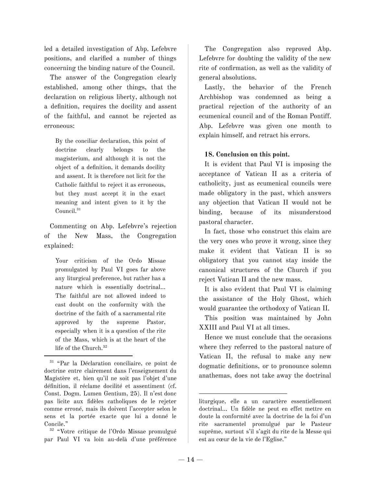led a detailed investigation of Abp. Lefebvre positions, and clarified a number of things concerning the binding nature of the Council.

The answer of the Congregation clearly established, among other things, that the declaration on religious liberty, although not a definition, requires the docility and assent of the faithful, and cannot be rejected as erroneous:

By the conciliar declaration, this point of doctrine clearly belongs to the magisterium, and although it is not the object of a definition, it demands docility and assent. It is therefore not licit for the Catholic faithful to reject it as erroneous, but they must accept it in the exact meaning and intent given to it by the Council. 31

Commenting on Abp. Lefebvre's rejection of the New Mass, the Congregation explained:

Your criticism of the Ordo Missae promulgated by Paul VI goes far above any liturgical preference, but rather has a nature which is essentially doctrinal… The faithful are not allowed indeed to cast doubt on the conformity with the doctrine of the faith of a sacramental rite approved by the supreme Pastor, especially when it is a question of the rite of the Mass, which is at the heart of the life of the Church. 32

The Congregation also reproved Abp. Lefebvre for doubting the validity of the new rite of confirmation, as well as the validity of general absolutions.

Lastly, the behavior of the French Archbishop was condemned as being a practical rejection of the authority of an ecumenical council and of the Roman Pontiff. Abp. Lefebvre was given one month to explain himself, and retract his errors.

#### **18. Conclusion on this point.**

It is evident that Paul VI is imposing the acceptance of Vatican II as a criteria of catholicity, just as ecumenical councils were made obligatory in the past, which answers any objection that Vatican II would not be binding, because of its misunderstood pastoral character.

In fact, those who construct this claim are the very ones who prove it wrong, since they make it evident that Vatican II is so obligatory that you cannot stay inside the canonical structures of the Church if you reject Vatican II and the new mass.

It is also evident that Paul VI is claiming the assistance of the Holy Ghost, which would guarantee the orthodoxy of Vatican II.

This position was maintained by John XXIII and Paul VI at all times.

Hence we must conclude that the occasions where they referred to the pastoral nature of Vatican II, the refusal to make any new dogmatic definitions, or to pronounce solemn anathemas, does not take away the doctrinal

<sup>31</sup> "Par la Déclaration conciliaire, ce point de doctrine entre clairement dans l'enseignement du Magistère et, bien qu'il ne soit pas l'objet d'une définition, il réclame docilité et assentiment (cf. Const. Dogm. Lumen Gentium, 25). Il n'est donc pas licite aux fidèles catholiques de le rejeter comme erroné, mais ils doivent l'accepter selon le sens et la portée exacte que lui a donné le Concile."

<sup>32</sup> "Votre critique de l'Ordo Missae promulgué par Paul VI va loin au-delà d'une préférence

liturgique, elle a un caractère essentiellement doctrinal… Un fidèle ne peut en effet mettre en doute la conformité avec la doctrine de la foi d'un rite sacramentel promulgué par le Pasteur suprême, surtout s'il s'agit du rite de la Messe qui est au cœur de la vie de l'Eglise."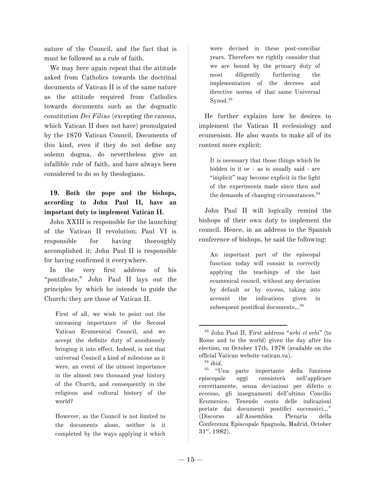nature of the Council, and the fact that is must be followed as a rule of faith.

We may here again repeat that the attitude asked from Catholics towards the doctrinal documents of Vatican II is of the same nature as the attitude required from Catholics towards documents such as the dogmatic constitution *Dei Filius* (excepting the canons, which Vatican II does not have) promulgated by the 1870 Vatican Council. Documents of this kind, even if they do not define any solemn dogma, do nevertheless give an infallible rule of faith, and have always been considered to do so by theologians.

## **19. Both the pope and the bishops, according to John Paul II, have an important duty to implement Vatican II.**

John XXIII is responsible for the launching of the Vatican II revolution; Paul VI is responsible for having thoroughly accomplished it; John Paul II is responsible for having confirmed it everywhere.

In the very first address of his "pontificate," John Paul II lays out the principles by which he intends to guide the Church: they are those of Vatican II.

First of all, we wish to point out the unceasing importance of the Second Vatican Ecumenical Council, and we accept the definite duty of assiduously bringing it into effect. Indeed, is not that universal Council a kind of milestone as it were, an event of the utmost importance in the almost two thousand year history of the Church, and consequently in the religious and cultural history of the world?

However, as the Council is not limited to the documents alone, neither is it completed by the ways applying it which

were devised in these post-conciliar years. Therefore we rightly consider that we are bound by the primary duty of most diligently furthering the implementation of the decrees and directive norms of that same Universal Synod. 33

He further explains how he desires to implement the Vatican II ecclesiology and ecumenism. He also wants to make all of its content more explicit:

It is necessary that those things which lie hidden in it or - as is usually said - are "implicit" may become explicit in the light of the experiments made since then and the demands of changing circumstances. 34

John Paul II will logically remind the bishops of their own duty to implement the council. Hence, in an address to the Spanish conference of bishops, he said the following:

An important part of the episcopal function today will consist in correctly applying the teachings of the last ecumenical council, without any deviation by default or by excess, taking into account the indications given in subsequent pontifical documents…<sup>35</sup>

<sup>35</sup> "Una parte importante della funzione episcopale oggi consisterà nell'applicare correttamente, senza deviazioni per difetto o eccesso, gli insegnamenti dell'ultimo Concilio Ecumenico. Tenendo conto delle indicazioni portate dai documenti pontifici successivi…" (Discorso all'Assemblea Plenaria della Conferenza Episcopale Spagnola, Madrid, October 31 st , 1982).

<sup>33</sup> John Paul II, First address "*urbi et orbi*" (to Rome and to the world) given the day after his election, on October 17th, 1978 (available on the official Vatican website vatican.va).

<sup>34</sup> *ibid.*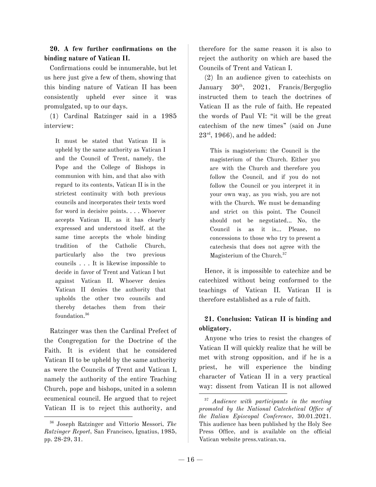#### **20. A few further confirmations on the binding nature of Vatican II.**

Confirmations could be innumerable, but let us here just give a few of them, showing that this binding nature of Vatican II has been consistently upheld ever since it was promulgated, up to our days.

(1) Cardinal Ratzinger said in a 1985 interview:

It must be stated that Vatican II is upheld by the same authority as Vatican I and the Council of Trent, namely, the Pope and the College of Bishops in communion with him, and that also with regard to its contents, Vatican II is in the strictest continuity with both previous councils and incorporates their texts word for word in decisive points. . . . Whoever accepts Vatican II, as it has clearly expressed and understood itself, at the same time accepts the whole binding tradition of the Catholic Church, particularly also the two previous councils . . . It is likewise impossible to decide in favor of Trent and Vatican I but against Vatican II. Whoever denies Vatican II denies the authority that upholds the other two councils and thereby detaches them from their foundation. 36

Ratzinger was then the Cardinal Prefect of the Congregation for the Doctrine of the Faith. It is evident that he considered Vatican II to be upheld by the same authority as were the Councils of Trent and Vatican I, namely the authority of the entire Teaching Church, pope and bishops, united in a solemn ecumenical council. He argued that to reject Vatican II is to reject this authority, and therefore for the same reason it is also to reject the authority on which are based the Councils of Trent and Vatican I.

(2) In an audience given to catechists on January  $30<sup>th</sup>$ , , 2021, Francis/Bergoglio instructed them to teach the doctrines of Vatican II as the rule of faith. He repeated the words of Paul VI: "it will be the great catechism of the new times" (said on June  $23^{\text{rd}}, 1966$ ), and he added:

This is magisterium: the Council is the magisterium of the Church. Either you are with the Church and therefore you follow the Council, and if you do not follow the Council or you interpret it in your own way, as you wish, you are not with the Church. We must be demanding and strict on this point. The Council should not be negotiated... No, the Council is as it is… Please, no concessions to those who try to present a catechesis that does not agree with the Magisterium of the Church. 37

Hence, it is impossible to catechize and be catechized without being conformed to the teachings of Vatican II. Vatican II is therefore established as a rule of faith.

## **21. Conclusion: Vatican II is binding and obligatory.**

Anyone who tries to resist the changes of Vatican II will quickly realize that he will be met with strong opposition, and if he is a priest, he will experience the binding character of Vatican II in a very practical way: dissent from Vatican II is not allowed

<sup>36</sup> Joseph Ratzinger and Vittorio Messori, *The Ratzinger Report*, San Francisco, Ignatius, 1985, pp. 28-29, 31.

<sup>37</sup> *Audience with participants in the meeting promoted by the National Catechetical Office of the Italian Episcopal Conference*, 30.01.2021. This audience has been published by the Holy See Press Office, and is available on the official Vatican website press.vatican.va.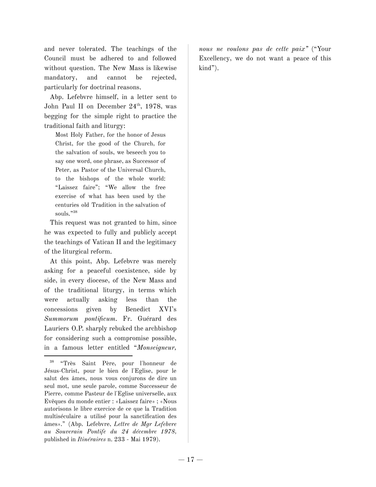and never tolerated. The teachings of the Council must be adhered to and followed without question. The New Mass is likewise mandatory, and cannot be rejected, particularly for doctrinal reasons.

Abp. Lefebvre himself, in a letter sent to John Paul II on December 24<sup>th</sup>, 1978, was begging for the simple right to practice the traditional faith and liturgy:

Most Holy Father, for the honor of Jesus Christ, for the good of the Church, for the salvation of souls, we beseech you to say one word, one phrase, as Successor of Peter, as Pastor of the Universal Church, to the bishops of the whole world: "Laissez faire"; "We allow the free exercise of what has been used by the centuries old Tradition in the salvation of souls." 38

This request was not granted to him, since he was expected to fully and publicly accept the teachings of Vatican II and the legitimacy of the liturgical reform.

At this point, Abp. Lefebvre was merely asking for a peaceful coexistence, side by side, in every diocese, of the New Mass and of the traditional liturgy, in terms which were actually asking less than the concessions given by Benedict XVI's *Summorum pontificum*. Fr. Guérard des Lauriers O.P. sharply rebuked the archbishop for considering such a compromise possible, in a famous letter entitled "*Monseigneur,*

*nous ne voulons pas de cette paix"* ("Your Excellency, we do not want a peace of this kind").

<sup>38</sup> "Très Saint Père, pour l'honneur de Jésus-Christ, pour le bien de l'Eglise, pour le salut des âmes, nous vous conjurons de dire un seul mot, une seule parole, comme Successeur de Pierre, comme Pasteur de l'Eglise universelle, aux Evêques du monde entier : «Laissez faire» ; «Nous autorisons le libre exercice de ce que la Tradition multiséculaire a utilisé pour la sanctification des âmes»." (Abp. Lefebvre, *Lettre de Mgr Lefebvre au Souverain Pontife du 24 décembre 1978,* published in *Itinéraires* n. 233 - Mai 1979).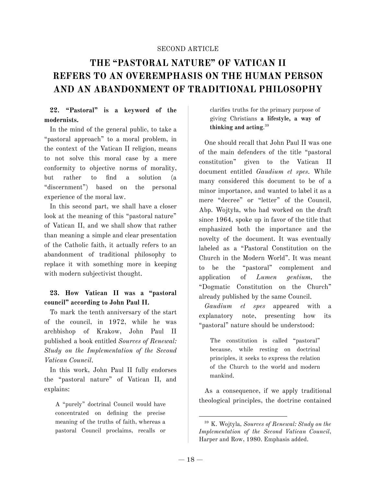#### SECOND ARTICLE

## **THE "PASTORAL NATURE" OF VATICAN II REFERS TO AN OVEREMPHASIS ON THE HUMAN PERSON AND AN ABANDONMENT OF TRADITIONAL PHILOSOPHY**

#### **22. "Pastoral" is a keyword of the modernists.**

In the mind of the general public, to take a "pastoral approach" to a moral problem, in the context of the Vatican II religion, means to not solve this moral case by a mere conformity to objective norms of morality, but rather to find a solution (a "discernment") based on the personal experience of the moral law.

In this second part, we shall have a closer look at the meaning of this "pastoral nature" of Vatican II, and we shall show that rather than meaning a simple and clear presentation of the Catholic faith, it actually refers to an abandonment of traditional philosophy to replace it with something more in keeping with modern subjectivist thought.

#### **23. How Vatican II was a "pastoral council" according to John Paul II.**

To mark the tenth anniversary of the start of the council, in 1972, while he was archbishop of Krakow, John Paul II published a book entitled *Sources of Renewal: Study on the Implementation of the Second Vatican Council*.

In this work, John Paul II fully endorses the "pastoral nature" of Vatican II, and explains:

A "purely" doctrinal Council would have concentrated on defining the precise meaning of the truths of faith, whereas a pastoral Council proclaims, recalls or clarifies truths for the primary purpose of giving Christians **a lifestyle, a way of thinking and acting**. 39

One should recall that John Paul II was one of the main defenders of the title "pastoral constitution" given to the Vatican II document entitled *Gaudium et spes.* While many considered this document to be of a minor importance, and wanted to label it as a mere "decree" or "letter" of the Council, Abp. Wojtyła, who had worked on the draft since 1964, spoke up in favor of the title that emphasized both the importance and the novelty of the document. It was eventually labeled as a "Pastoral Constitution on the Church in the Modern World"*.* It was meant to be the "pastoral" complement and application of *Lumen gentium,* the "Dogmatic Constitution on the Church" already published by the same Council.

*Gaudium et spes* appeared with a explanatory note, presenting how its "pastoral" nature should be understood:

The constitution is called "pastoral" because, while resting on doctrinal principles, it seeks to express the relation of the Church to the world and modern mankind.

As a consequence, if we apply traditional theological principles, the doctrine contained

<sup>39</sup> K. Wojtyla, *Sources of Renewal: Study on the Implementation of the Second Vatican Council*, Harper and Row, 1980. Emphasis added.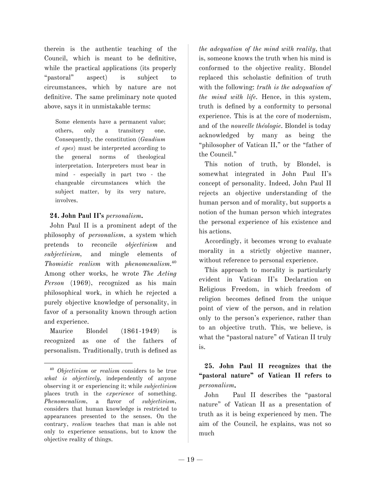therein is the authentic teaching of the Council, which is meant to be definitive, while the practical applications (its properly "pastoral" aspect) is subject to circumstances, which by nature are not definitive. The same preliminary note quoted above, says it in unmistakable terms:

Some elements have a permanent value; others, only a transitory one. Consequently, the constitution (*Gaudium et spes*) must be interpreted according to the general norms of theological interpretation. Interpreters must bear in mind - especially in part two - the changeable circumstances which the subject matter, by its very nature, involves.

#### **24. John Paul II's** *personalism***.**

John Paul II is a prominent adept of the philosophy of *personalism*, a system which pretends to reconcile *objectivism* and *subjectivism,* and mingle elements of *Thomistic realism* with *phenomenalism.* 40 Among other works, he wrote *The Acting Person* (1969), recognized as his main philosophical work, in which he rejected a purely objective knowledge of personality, in favor of a personality known through action and experience.

Maurice Blondel (1861-1949) is recognized as one of the fathers of personalism. Traditionally, truth is defined as *the adequation of the mind with reality*, that is, someone knows the truth when his mind is conformed to the objective reality. Blondel replaced this scholastic definition of truth with the following: *truth is the adequation of the mind with life.* Hence, in this system, truth is defined by a conformity to personal experience. This is at the core of modernism, and of the *nouvelle théologie*. Blondel is today acknowledged by many as being the "philosopher of Vatican II," or the "father of the Council."

This notion of truth, by Blondel, is somewhat integrated in John Paul II's concept of personality. Indeed, John Paul II rejects an objective understanding of the human person and of morality, but supports a notion of the human person which integrates the personal experience of his existence and his actions.

Accordingly, it becomes wrong to evaluate morality in a strictly objective manner, without reference to personal experience.

This approach to morality is particularly evident in Vatican II's Declaration on Religious Freedom, in which freedom of religion becomes defined from the unique point of view of the person, and in relation only to the person's experience, rather than to an objective truth. This, we believe, is what the "pastoral nature" of Vatican II truly is.

## **25. John Paul II recognizes that the "pastoral nature" of Vatican II refers to** *personalism.*

John Paul II describes the "pastoral nature" of Vatican II as a presentation of truth as it is being experienced by men. The aim of the Council, he explains, was not so much

<sup>40</sup> *Objectivism* or *realism* considers to be true *what is objectively*, independently of anyone observing it or experiencing it; while *subjectivism* places truth in the *experience* of something. *Phenomenalism*, a flavor of *subjectivism*, considers that human knowledge is restricted to appearances presented to the senses. On the contrary, *realism* teaches that man is able not only to experience sensations, but to know the objective reality of things.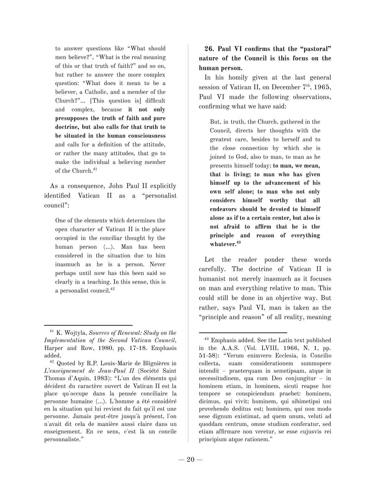to answer questions like "What should men believe?", "What is the real meaning of this or that truth of faith?" and so on, but rather to answer the more complex question: "What does it mean to be a believer, a Catholic, and a member of the Church?"... [This question is] difficult and complex, because **it not only presupposes the truth of faith and pure doctrine, but also calls for that truth to be situated in the human consciousness** and calls for a definition of the attitude, or rather the many attitudes, that go to make the individual a believing member of the Church. 41

As a consequence, John Paul II explicitly identified Vatican II as a "personalist council":

One of the elements which determines the open character of Vatican II is the place occupied in the conciliar thought by the human person (...). Man has been considered in the situation due to him inasmuch as he is a person. Never perhaps until now has this been said so clearly in a teaching. In this sense, this is a personalist council. 42

**26. Paul VI confirms that the "pastoral" nature of the Council is this focus on the human person.**

In his homily given at the last general session of Vatican II, on December 7<sup>th</sup>, 1965, Paul VI made the following observations, confirming what we have said:

But, in truth, the Church, gathered in the Council, directs her thoughts with the greatest care, besides to herself and to the close connection by which she is joined to God, also to man, to man as he presents himself today; **to man, we mean, that is living; to man who has given himself up to the advancement of his own self alone; to man who not only considers himself worthy that all endeavors should be devoted to himself alone as if to a certain center, but also is not afraid to affirm that he is the principle and reason of everything whatever. 43**

Let the reader ponder these words carefully. The doctrine of Vatican II is humanist not merely inasmuch as it focuses on man and everything relative to man. This could still be done in an objective way. But rather, says Paul VI, man is taken as the "principle and reason" of all reality, meaning

<sup>41</sup> K. Wojtyla, *Sources of Renewal: Study on the Implementation of the Second Vatican Council*, Harper and Row, 1980, pp. 17-18. Emphasis added.

<sup>42</sup> Quoted by R.P. Louis-Marie de Blignières in *L'enseignement de Jean-Paul II* (Société Saint Thomas d'Aquin, 1983): "L'un des éléments qui décident du caractère ouvert de Vatican II est la place qu'occupe dans la pensée conciliaire la personne humaine (...). L'homme a été considéré en la situation qui lui revient du fait qu'il est une personne. Jamais peut-être jusqu'à présent, l'on n'avait dit cela de manière aussi claire dans un enseignement. En ce sens, c'est là un concile personnaliste."

<sup>43</sup> Emphasis added. See the Latin text published in the A.A.S. (Vol. LVIII, 1966, N. 1, pp. 51-58): "Verum enimvero Ecclesia, in Concilio collecta, suam considerationem summopere intendit – praeterquam in semetipsam, atque in necessitudinem, qua cum Deo conjungitur – in hominem etiam, in hominem, sicuti reapse hoc tempore se conspiciendum praebet: hominem, dicimus, qui vivit; hominem, qui sibimetipsi uni provehendo deditus est; hominem, qui non modo sese dignum existimat, ad quem unum, veluti ad quoddam centrum, omne studium conferatur, sed etiam affirmare non veretur, se esse cujusvis rei principium atque rationem."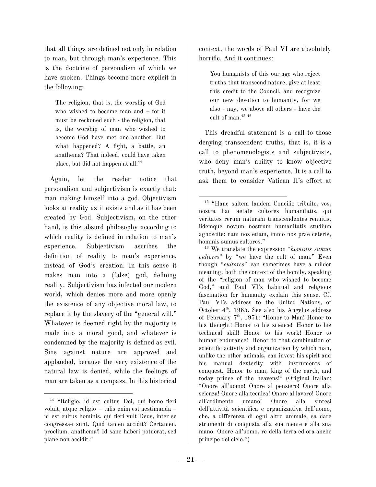that all things are defined not only in relation to man, but through man's experience. This is the doctrine of personalism of which we have spoken. Things become more explicit in the following:

The religion, that is, the worship of God who wished to become man and – for it must be reckoned such - the religion, that is, the worship of man who wished to become God have met one another. But what happened? A fight, a battle, an anathema? That indeed, could have taken place, but did not happen at all. 44

Again, let the reader notice that personalism and subjectivism is exactly that: man making himself into a god. Objectivism looks at reality as it exists and as it has been created by God. Subjectivism, on the other hand, is this absurd philosophy according to which reality is defined in relation to man's experience. Subjectivism ascribes the definition of reality to man's experience, instead of God's creation. In this sense it makes man into a (false) god, defining reality. Subjectivism has infected our modern world, which denies more and more openly the existence of any objective moral law, to replace it by the slavery of the "general will." Whatever is deemed right by the majority is made into a moral good, and whatever is condemned by the majority is defined as evil. Sins against nature are approved and applauded, because the very existence of the natural law is denied, while the feelings of man are taken as a compass. In this historical

context, the words of Paul VI are absolutely horrific. And it continues:

You humanists of this our age who reject truths that transcend nature, give at least this credit to the Council, and recognize our new devotion to humanity, for we also - nay, we above all others - have the cult of man. 45 46

This dreadful statement is a call to those denying transcendent truths, that is, it is a call to phenomenologists and subjectivists, who deny man's ability to know objective truth, beyond man's experience. It is a call to ask them to consider Vatican II's effort at

<sup>46</sup> We translate the expression "*hominis sumus cultores*" by "we have the cult of man." Even though "*cultores*" can sometimes have a milder meaning, both the context of the homily, speaking of the "religion of man who wished to become God," and Paul VI's habitual and religious fascination for humanity explain this sense. Cf. Paul VI's address to the United Nations, of October  $4<sup>th</sup>$ , 1965. See also his Angelus address of February 7<sup>th</sup>, 1971: "Honor to Man! Honor to his thought! Honor to his science! Honor to his technical skill! Honor to his work! Honor to human endurance! Honor to that combination of scientific activity and organization by which man, unlike the other animals, can invest his spirit and his manual dexterity with instruments of conquest. Honor to man, king of the earth, and today prince of the heavens!" (Original Italian: "Onore all'uomo! Onore al pensiero! Onore alla scienza! Onore alla tecnica! Onore al lavoro! Onore all'ardimento umano! Onore alla sintesi dell'attività scientifica e organizzativa dell'uomo, che, a differenza di ogni altro animale, sa dare strumenti di conquista alla sua mente e alla sua mano. Onore all'uomo, re della terra ed ora anche principe del cielo.")

<sup>44</sup> "Religio, id est cultus Dei, qui homo fieri voluit, atque religio – talis enim est aestimanda – id est cultus hominis, qui fieri vult Deus, inter se congressae sunt. Quid tamen accidit? Certamen, proelium, anathema? Id sane haberi potuerat, sed plane non accidit."

<sup>45</sup> "Hanc saltem laudem Concilio tribuite, vos, nostra hac aetate cultores humanitatis, qui veritates rerum naturam transcendentes renuitis, iidemque novum nostrum humanitatis studium agnoscite: nam nos etiam, immo nos prae ceteris, hominis sumus cultores."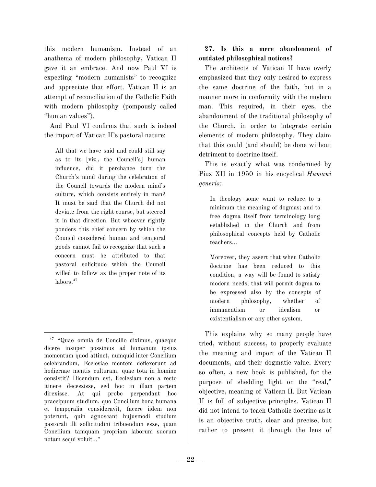this modern humanism. Instead of an anathema of modern philosophy, Vatican II gave it an embrace. And now Paul VI is expecting "modern humanists" to recognize and appreciate that effort. Vatican II is an attempt of reconciliation of the Catholic Faith with modern philosophy (pompously called "human values").

And Paul VI confirms that such is indeed the import of Vatican II's pastoral nature:

All that we have said and could still say as to its [viz., the Council's] human influence, did it perchance turn the Church's mind during the celebration of the Council towards the modern mind's culture, which consists entirely in man? It must be said that the Church did not deviate from the right course, but steered it in that direction. But whoever rightly ponders this chief concern by which the Council considered human and temporal goods cannot fail to recognize that such a concern must be attributed to that pastoral solicitude which the Council willed to follow as the proper note of its labors. 47

## **27. Is this a mere abandonment of outdated philosophical notions?**

The architects of Vatican II have overly emphasized that they only desired to express the same doctrine of the faith, but in a manner more in conformity with the modern man. This required, in their eyes, the abandonment of the traditional philosophy of the Church, in order to integrate certain elements of modern philosophy. They claim that this could (and should) be done without detriment to doctrine itself.

This is exactly what was condemned by Pius XII in 1950 in his encyclical *Humani generis:*

In theology some want to reduce to a minimum the meaning of dogmas; and to free dogma itself from terminology long established in the Church and from philosophical concepts held by Catholic teachers…

Moreover, they assert that when Catholic doctrine has been reduced to this condition, a way will be found to satisfy modern needs, that will permit dogma to be expressed also by the concepts of modern philosophy, whether of immanentism or idealism or existentialism or any other system.

This explains why so many people have tried, without success, to properly evaluate the meaning and import of the Vatican II documents, and their dogmatic value. Every so often, a new book is published, for the purpose of shedding light on the "real," objective, meaning of Vatican II. But Vatican II is full of subjective principles. Vatican II did not intend to teach Catholic doctrine as it is an objective truth, clear and precise, but rather to present it through the lens of

<sup>47</sup> "Quae omnia de Concilio diximus, quaeque dicere insuper possimus ad humanum ipsius momentum quod attinet, numquid inter Concilium celebrandum, Ecclesiae mentem deflexerunt ad hodiernae mentis culturam, quae tota in homine consistit? Dicendum est, Ecclesiam non a recto itinere decessisse, sed hoc in illam partem direxisse. At qui probe perpendant hoc praecipuum studium, quo Concilium bona humana et temporalia consideravit, facere iidem non poterunt, quin agnoscant hujusmodi studium pastorali illi sollicitudini tribuendum esse, quam Concilium tamquam propriam laborum suorum notam sequi voluit…"